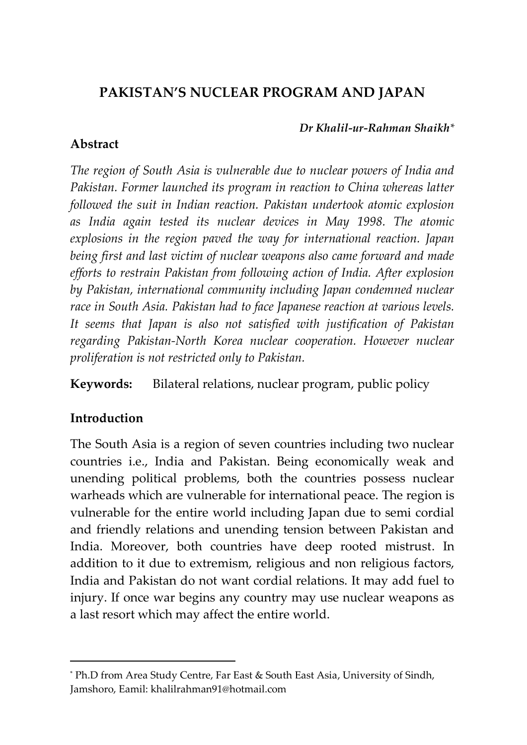# **PAKISTAN'S NUCLEAR PROGRAM AND JAPAN**

#### *Dr Khalil-ur-Rahman Shaikh\**

## **Abstract**

*The region of South Asia is vulnerable due to nuclear powers of India and Pakistan. Former launched its program in reaction to China whereas latter followed the suit in Indian reaction. Pakistan undertook atomic explosion as India again tested its nuclear devices in May 1998. The atomic explosions in the region paved the way for international reaction. Japan being first and last victim of nuclear weapons also came forward and made efforts to restrain Pakistan from following action of India. After explosion by Pakistan, international community including Japan condemned nuclear race in South Asia. Pakistan had to face Japanese reaction at various levels. It seems that Japan is also not satisfied with justification of Pakistan regarding Pakistan-North Korea nuclear cooperation. However nuclear proliferation is not restricted only to Pakistan.*

**Keywords:** Bilateral relations, nuclear program, public policy

# **Introduction**

 $\overline{a}$ 

The South Asia is a region of seven countries including two nuclear countries i.e., India and Pakistan. Being economically weak and unending political problems, both the countries possess nuclear warheads which are vulnerable for international peace. The region is vulnerable for the entire world including Japan due to semi cordial and friendly relations and unending tension between Pakistan and India. Moreover, both countries have deep rooted mistrust. In addition to it due to extremism, religious and non religious factors, India and Pakistan do not want cordial relations. It may add fuel to injury. If once war begins any country may use nuclear weapons as a last resort which may affect the entire world.

<sup>\*</sup> Ph.D from Area Study Centre, Far East & South East Asia, University of Sindh, Jamshoro, Eamil: khalilrahman91@hotmail.com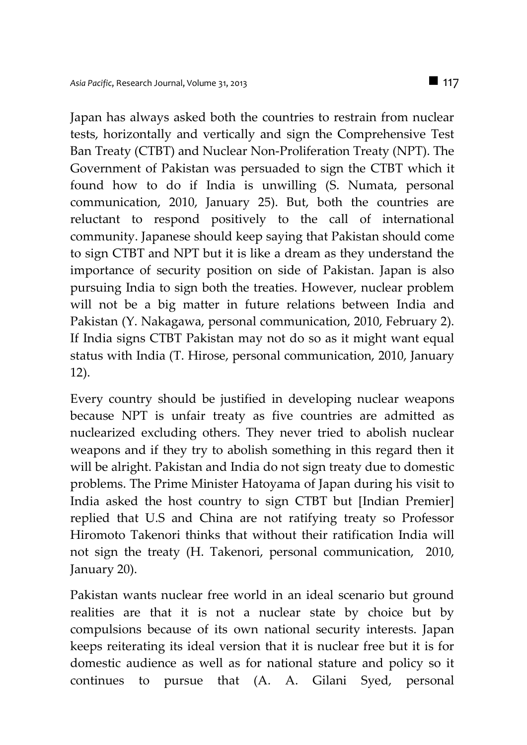Japan has always asked both the countries to restrain from nuclear tests, horizontally and vertically and sign the Comprehensive Test Ban Treaty (CTBT) and Nuclear Non-Proliferation Treaty (NPT). The Government of Pakistan was persuaded to sign the CTBT which it found how to do if India is unwilling (S. Numata, personal communication, 2010, January 25). But, both the countries are reluctant to respond positively to the call of international community. Japanese should keep saying that Pakistan should come to sign CTBT and NPT but it is like a dream as they understand the importance of security position on side of Pakistan. Japan is also pursuing India to sign both the treaties. However, nuclear problem will not be a big matter in future relations between India and Pakistan (Y. Nakagawa, personal communication, 2010, February 2). If India signs CTBT Pakistan may not do so as it might want equal status with India (T. Hirose, personal communication, 2010, January 12).

Every country should be justified in developing nuclear weapons because NPT is unfair treaty as five countries are admitted as nuclearized excluding others. They never tried to abolish nuclear weapons and if they try to abolish something in this regard then it will be alright. Pakistan and India do not sign treaty due to domestic problems. The Prime Minister Hatoyama of Japan during his visit to India asked the host country to sign CTBT but [Indian Premier] replied that U.S and China are not ratifying treaty so Professor Hiromoto Takenori thinks that without their ratification India will not sign the treaty (H. Takenori, personal communication, 2010, January 20).

Pakistan wants nuclear free world in an ideal scenario but ground realities are that it is not a nuclear state by choice but by compulsions because of its own national security interests. Japan keeps reiterating its ideal version that it is nuclear free but it is for domestic audience as well as for national stature and policy so it continues to pursue that (A. A. Gilani Syed, personal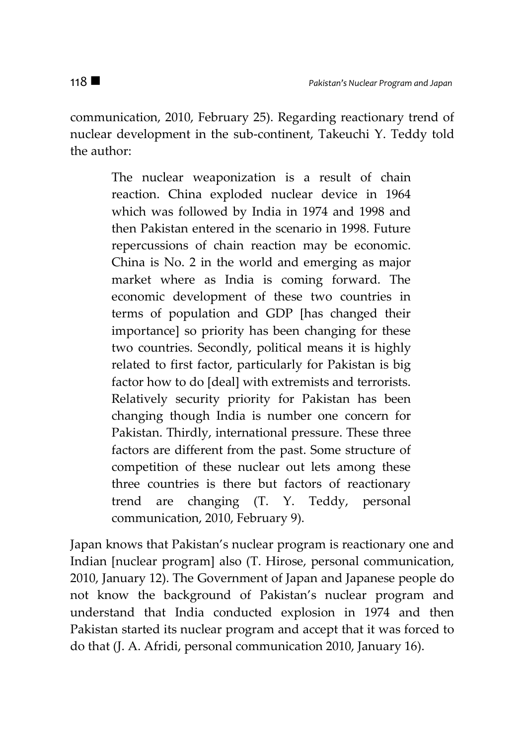communication, 2010, February 25). Regarding reactionary trend of nuclear development in the sub-continent, Takeuchi Y. Teddy told the author:

> The nuclear weaponization is a result of chain reaction. China exploded nuclear device in 1964 which was followed by India in 1974 and 1998 and then Pakistan entered in the scenario in 1998. Future repercussions of chain reaction may be economic. China is No. 2 in the world and emerging as major market where as India is coming forward. The economic development of these two countries in terms of population and GDP [has changed their importance] so priority has been changing for these two countries. Secondly, political means it is highly related to first factor, particularly for Pakistan is big factor how to do [deal] with extremists and terrorists. Relatively security priority for Pakistan has been changing though India is number one concern for Pakistan. Thirdly, international pressure. These three factors are different from the past. Some structure of competition of these nuclear out lets among these three countries is there but factors of reactionary trend are changing (T. Y. Teddy, personal communication, 2010, February 9).

Japan knows that Pakistan's nuclear program is reactionary one and Indian [nuclear program] also (T. Hirose, personal communication, 2010, January 12). The Government of Japan and Japanese people do not know the background of Pakistan's nuclear program and understand that India conducted explosion in 1974 and then Pakistan started its nuclear program and accept that it was forced to do that (J. A. Afridi, personal communication 2010, January 16).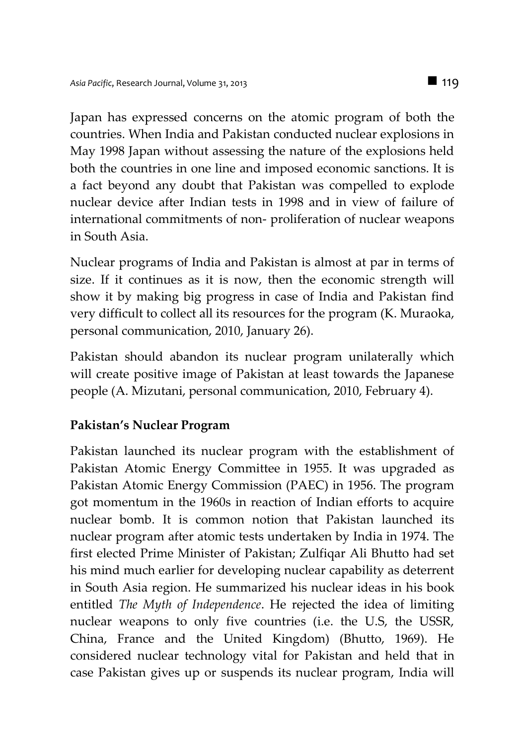Japan has expressed concerns on the atomic program of both the countries. When India and Pakistan conducted nuclear explosions in May 1998 Japan without assessing the nature of the explosions held both the countries in one line and imposed economic sanctions. It is a fact beyond any doubt that Pakistan was compelled to explode nuclear device after Indian tests in 1998 and in view of failure of international commitments of non- proliferation of nuclear weapons in South Asia.

Nuclear programs of India and Pakistan is almost at par in terms of size. If it continues as it is now, then the economic strength will show it by making big progress in case of India and Pakistan find very difficult to collect all its resources for the program (K. Muraoka, personal communication, 2010, January 26).

Pakistan should abandon its nuclear program unilaterally which will create positive image of Pakistan at least towards the Japanese people (A. Mizutani, personal communication, 2010, February 4).

## **Pakistan's Nuclear Program**

Pakistan launched its nuclear program with the establishment of Pakistan Atomic Energy Committee in 1955. It was upgraded as Pakistan Atomic Energy Commission (PAEC) in 1956. The program got momentum in the 1960s in reaction of Indian efforts to acquire nuclear bomb. It is common notion that Pakistan launched its nuclear program after atomic tests undertaken by India in 1974. The first elected Prime Minister of Pakistan; Zulfiqar Ali Bhutto had set his mind much earlier for developing nuclear capability as deterrent in South Asia region. He summarized his nuclear ideas in his book entitled *The Myth of Independence*. He rejected the idea of limiting nuclear weapons to only five countries (i.e. the U.S, the USSR, China, France and the United Kingdom) (Bhutto, 1969). He considered nuclear technology vital for Pakistan and held that in case Pakistan gives up or suspends its nuclear program, India will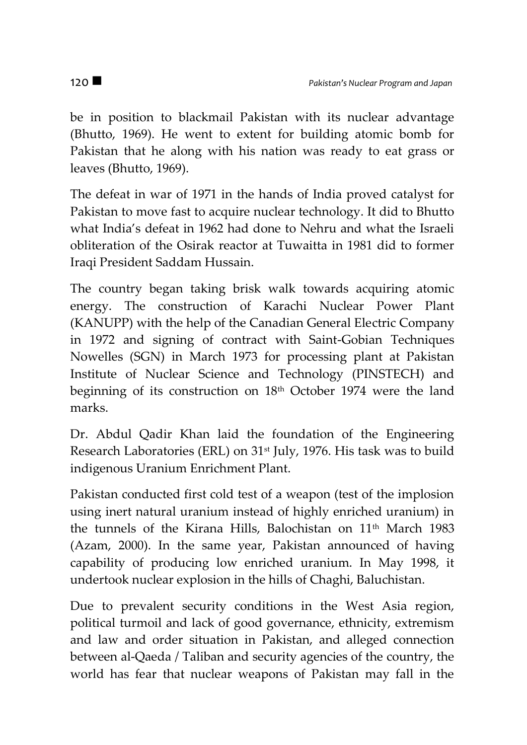be in position to blackmail Pakistan with its nuclear advantage (Bhutto, 1969). He went to extent for building atomic bomb for Pakistan that he along with his nation was ready to eat grass or leaves (Bhutto, 1969).

The defeat in war of 1971 in the hands of India proved catalyst for Pakistan to move fast to acquire nuclear technology. It did to Bhutto what India's defeat in 1962 had done to Nehru and what the Israeli obliteration of the Osirak reactor at Tuwaitta in 1981 did to former Iraqi President Saddam Hussain.

The country began taking brisk walk towards acquiring atomic energy. The construction of Karachi Nuclear Power Plant (KANUPP) with the help of the Canadian General Electric Company in 1972 and signing of contract with Saint-Gobian Techniques Nowelles (SGN) in March 1973 for processing plant at Pakistan Institute of Nuclear Science and Technology (PINSTECH) and beginning of its construction on 18<sup>th</sup> October 1974 were the land marks.

Dr. Abdul Qadir Khan laid the foundation of the Engineering Research Laboratories (ERL) on 31<sup>st</sup> July, 1976. His task was to build indigenous Uranium Enrichment Plant.

Pakistan conducted first cold test of a weapon (test of the implosion using inert natural uranium instead of highly enriched uranium) in the tunnels of the Kirana Hills, Balochistan on 11<sup>th</sup> March 1983 (Azam, 2000). In the same year, Pakistan announced of having capability of producing low enriched uranium. In May 1998, it undertook nuclear explosion in the hills of Chaghi, Baluchistan.

Due to prevalent security conditions in the West Asia region, political turmoil and lack of good governance, ethnicity, extremism and law and order situation in Pakistan, and alleged connection between al-Qaeda / Taliban and security agencies of the country, the world has fear that nuclear weapons of Pakistan may fall in the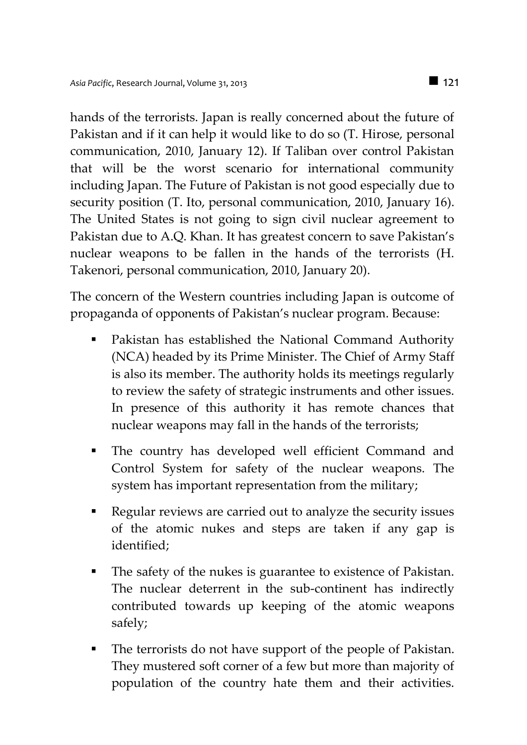hands of the terrorists. Japan is really concerned about the future of Pakistan and if it can help it would like to do so (T. Hirose, personal communication, 2010, January 12). If Taliban over control Pakistan that will be the worst scenario for international community including Japan. The Future of Pakistan is not good especially due to security position (T. Ito, personal communication, 2010, January 16). The United States is not going to sign civil nuclear agreement to Pakistan due to A.Q. Khan. It has greatest concern to save Pakistan's nuclear weapons to be fallen in the hands of the terrorists (H. Takenori, personal communication, 2010, January 20).

The concern of the Western countries including Japan is outcome of propaganda of opponents of Pakistan's nuclear program. Because:

- Pakistan has established the National Command Authority (NCA) headed by its Prime Minister. The Chief of Army Staff is also its member. The authority holds its meetings regularly to review the safety of strategic instruments and other issues. In presence of this authority it has remote chances that nuclear weapons may fall in the hands of the terrorists;
- The country has developed well efficient Command and Control System for safety of the nuclear weapons. The system has important representation from the military;
- Regular reviews are carried out to analyze the security issues of the atomic nukes and steps are taken if any gap is identified;
- The safety of the nukes is guarantee to existence of Pakistan. The nuclear deterrent in the sub-continent has indirectly contributed towards up keeping of the atomic weapons safely;
- The terrorists do not have support of the people of Pakistan. They mustered soft corner of a few but more than majority of population of the country hate them and their activities.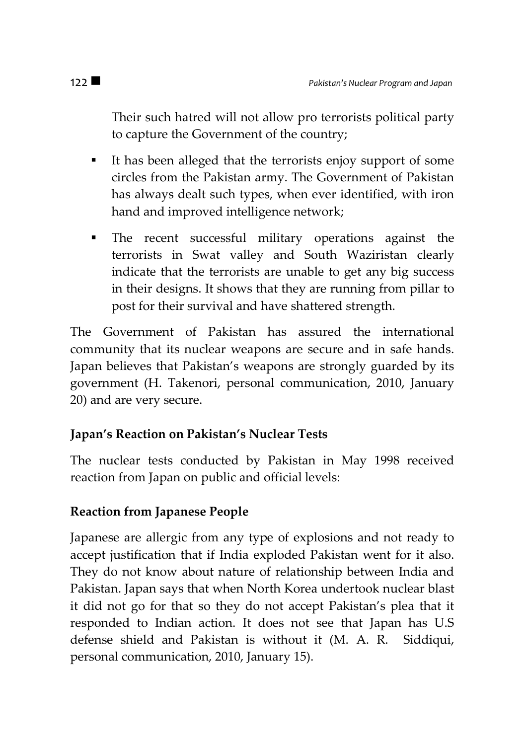Their such hatred will not allow pro terrorists political party to capture the Government of the country;

- It has been alleged that the terrorists enjoy support of some circles from the Pakistan army. The Government of Pakistan has always dealt such types, when ever identified, with iron hand and improved intelligence network;
- The recent successful military operations against the terrorists in Swat valley and South Waziristan clearly indicate that the terrorists are unable to get any big success in their designs. It shows that they are running from pillar to post for their survival and have shattered strength.

The Government of Pakistan has assured the international community that its nuclear weapons are secure and in safe hands. Japan believes that Pakistan's weapons are strongly guarded by its government (H. Takenori, personal communication, 2010, January 20) and are very secure.

## **Japan's Reaction on Pakistan's Nuclear Tests**

The nuclear tests conducted by Pakistan in May 1998 received reaction from Japan on public and official levels:

#### **Reaction from Japanese People**

Japanese are allergic from any type of explosions and not ready to accept justification that if India exploded Pakistan went for it also. They do not know about nature of relationship between India and Pakistan. Japan says that when North Korea undertook nuclear blast it did not go for that so they do not accept Pakistan's plea that it responded to Indian action. It does not see that Japan has U.S defense shield and Pakistan is without it (M. A. R. Siddiqui, personal communication, 2010, January 15).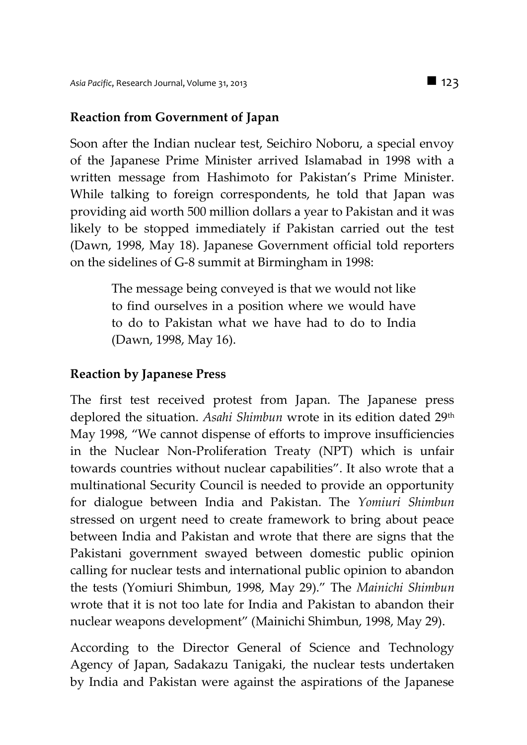#### **Reaction from Government of Japan**

Soon after the Indian nuclear test, Seichiro Noboru, a special envoy of the Japanese Prime Minister arrived Islamabad in 1998 with a written message from Hashimoto for Pakistan's Prime Minister. While talking to foreign correspondents, he told that Japan was providing aid worth 500 million dollars a year to Pakistan and it was likely to be stopped immediately if Pakistan carried out the test (Dawn, 1998, May 18). Japanese Government official told reporters on the sidelines of G-8 summit at Birmingham in 1998:

> The message being conveyed is that we would not like to find ourselves in a position where we would have to do to Pakistan what we have had to do to India (Dawn, 1998, May 16).

## **Reaction by Japanese Press**

The first test received protest from Japan. The Japanese press deplored the situation. Asahi Shimbun wrote in its edition dated 29<sup>th</sup> May 1998, "We cannot dispense of efforts to improve insufficiencies in the Nuclear Non-Proliferation Treaty (NPT) which is unfair towards countries without nuclear capabilities". It also wrote that a multinational Security Council is needed to provide an opportunity for dialogue between India and Pakistan. The *Yomiuri Shimbun* stressed on urgent need to create framework to bring about peace between India and Pakistan and wrote that there are signs that the Pakistani government swayed between domestic public opinion calling for nuclear tests and international public opinion to abandon the tests (Yomiuri Shimbun, 1998, May 29)." The *Mainichi Shimbun* wrote that it is not too late for India and Pakistan to abandon their nuclear weapons development" (Mainichi Shimbun, 1998, May 29).

According to the Director General of Science and Technology Agency of Japan, Sadakazu Tanigaki, the nuclear tests undertaken by India and Pakistan were against the aspirations of the Japanese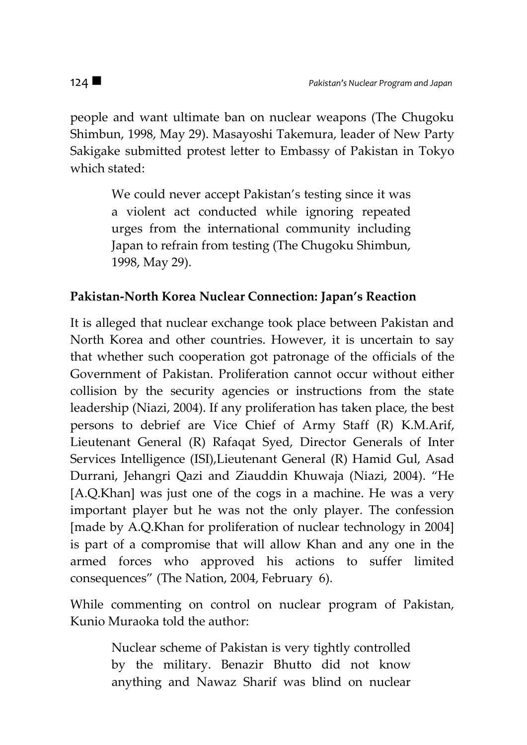people and want ultimate ban on nuclear weapons (The Chugoku Shimbun, 1998, May 29). Masayoshi Takemura, leader of New Party Sakigake submitted protest letter to Embassy of Pakistan in Tokyo which stated:

> We could never accept Pakistan's testing since it was a violent act conducted while ignoring repeated urges from the international community including Japan to refrain from testing (The Chugoku Shimbun, 1998, May 29).

#### **Pakistan-North Korea Nuclear Connection: Japan's Reaction**

It is alleged that nuclear exchange took place between Pakistan and North Korea and other countries. However, it is uncertain to say that whether such cooperation got patronage of the officials of the Government of Pakistan. Proliferation cannot occur without either collision by the security agencies or instructions from the state leadership (Niazi, 2004). If any proliferation has taken place, the best persons to debrief are Vice Chief of Army Staff (R) K.M.Arif, Lieutenant General (R) Rafaqat Syed, Director Generals of Inter Services Intelligence (ISI),Lieutenant General (R) Hamid Gul, Asad Durrani, Jehangri Qazi and Ziauddin Khuwaja (Niazi, 2004). "He [A.Q.Khan] was just one of the cogs in a machine. He was a very important player but he was not the only player. The confession [made by A.Q.Khan for proliferation of nuclear technology in 2004] is part of a compromise that will allow Khan and any one in the armed forces who approved his actions to suffer limited consequences" (The Nation, 2004, February 6).

While commenting on control on nuclear program of Pakistan, Kunio Muraoka told the author:

> Nuclear scheme of Pakistan is very tightly controlled by the military. Benazir Bhutto did not know anything and Nawaz Sharif was blind on nuclear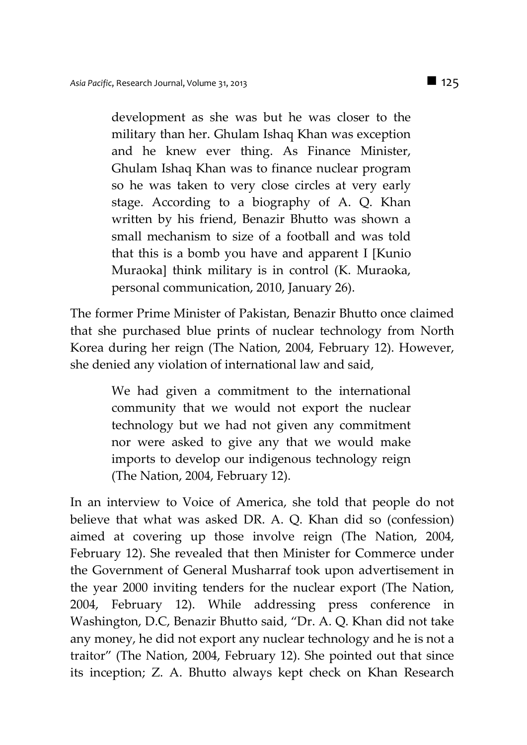development as she was but he was closer to the military than her. Ghulam Ishaq Khan was exception and he knew ever thing. As Finance Minister, Ghulam Ishaq Khan was to finance nuclear program so he was taken to very close circles at very early stage. According to a biography of A. Q. Khan written by his friend, Benazir Bhutto was shown a small mechanism to size of a football and was told that this is a bomb you have and apparent I [Kunio Muraoka] think military is in control (K. Muraoka, personal communication, 2010, January 26).

The former Prime Minister of Pakistan, Benazir Bhutto once claimed that she purchased blue prints of nuclear technology from North Korea during her reign (The Nation, 2004, February 12). However, she denied any violation of international law and said,

> We had given a commitment to the international community that we would not export the nuclear technology but we had not given any commitment nor were asked to give any that we would make imports to develop our indigenous technology reign (The Nation, 2004, February 12).

In an interview to Voice of America, she told that people do not believe that what was asked DR. A. Q. Khan did so (confession) aimed at covering up those involve reign (The Nation, 2004, February 12). She revealed that then Minister for Commerce under the Government of General Musharraf took upon advertisement in the year 2000 inviting tenders for the nuclear export (The Nation, 2004, February 12). While addressing press conference in Washington, D.C, Benazir Bhutto said, "Dr. A. Q. Khan did not take any money, he did not export any nuclear technology and he is not a traitor" (The Nation, 2004, February 12). She pointed out that since its inception; Z. A. Bhutto always kept check on Khan Research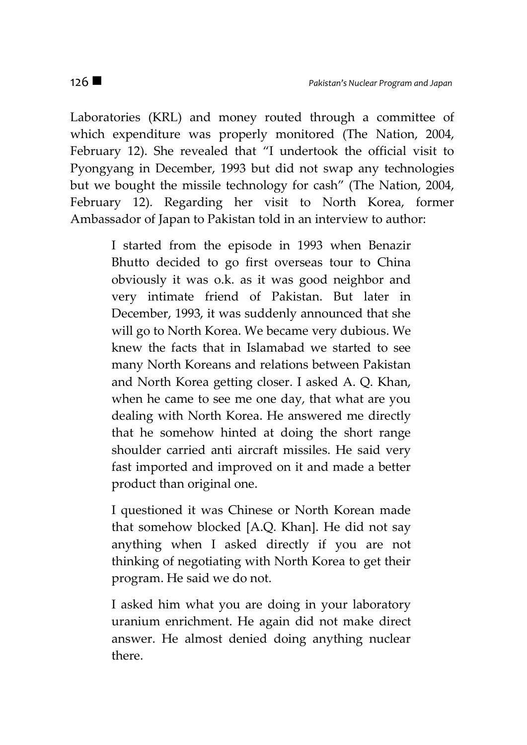Laboratories (KRL) and money routed through a committee of which expenditure was properly monitored (The Nation, 2004, February 12). She revealed that "I undertook the official visit to Pyongyang in December, 1993 but did not swap any technologies but we bought the missile technology for cash" (The Nation, 2004, February 12). Regarding her visit to North Korea, former Ambassador of Japan to Pakistan told in an interview to author:

> I started from the episode in 1993 when Benazir Bhutto decided to go first overseas tour to China obviously it was o.k. as it was good neighbor and very intimate friend of Pakistan. But later in December, 1993, it was suddenly announced that she will go to North Korea. We became very dubious. We knew the facts that in Islamabad we started to see many North Koreans and relations between Pakistan and North Korea getting closer. I asked A. Q. Khan, when he came to see me one day, that what are you dealing with North Korea. He answered me directly that he somehow hinted at doing the short range shoulder carried anti aircraft missiles. He said very fast imported and improved on it and made a better product than original one.

> I questioned it was Chinese or North Korean made that somehow blocked [A.Q. Khan]. He did not say anything when I asked directly if you are not thinking of negotiating with North Korea to get their program. He said we do not.

> I asked him what you are doing in your laboratory uranium enrichment. He again did not make direct answer. He almost denied doing anything nuclear there.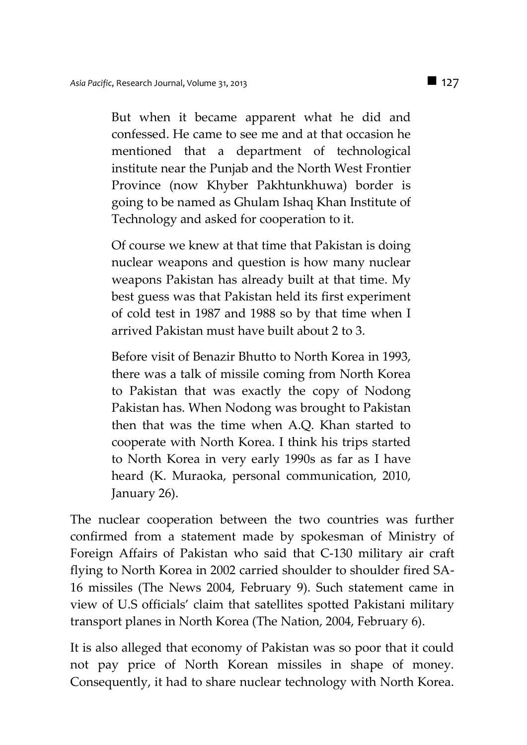But when it became apparent what he did and confessed. He came to see me and at that occasion he mentioned that a department of technological institute near the Punjab and the North West Frontier Province (now Khyber Pakhtunkhuwa) border is going to be named as Ghulam Ishaq Khan Institute of Technology and asked for cooperation to it.

Of course we knew at that time that Pakistan is doing nuclear weapons and question is how many nuclear weapons Pakistan has already built at that time. My best guess was that Pakistan held its first experiment of cold test in 1987 and 1988 so by that time when I arrived Pakistan must have built about 2 to 3.

Before visit of Benazir Bhutto to North Korea in 1993, there was a talk of missile coming from North Korea to Pakistan that was exactly the copy of Nodong Pakistan has. When Nodong was brought to Pakistan then that was the time when A.Q. Khan started to cooperate with North Korea. I think his trips started to North Korea in very early 1990s as far as I have heard (K. Muraoka, personal communication, 2010, January 26).

The nuclear cooperation between the two countries was further confirmed from a statement made by spokesman of Ministry of Foreign Affairs of Pakistan who said that C-130 military air craft flying to North Korea in 2002 carried shoulder to shoulder fired SA-16 missiles (The News 2004, February 9). Such statement came in view of U.S officials' claim that satellites spotted Pakistani military transport planes in North Korea (The Nation, 2004, February 6).

It is also alleged that economy of Pakistan was so poor that it could not pay price of North Korean missiles in shape of money. Consequently, it had to share nuclear technology with North Korea.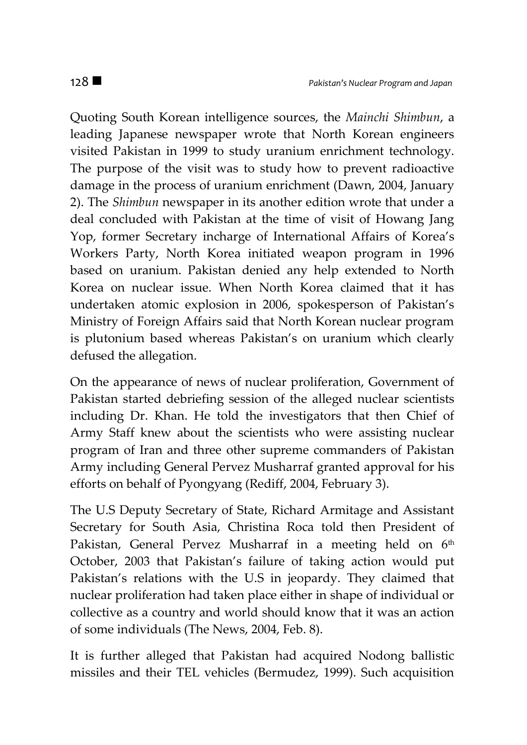Quoting South Korean intelligence sources, the *Mainchi Shimbun*, a leading Japanese newspaper wrote that North Korean engineers visited Pakistan in 1999 to study uranium enrichment technology. The purpose of the visit was to study how to prevent radioactive damage in the process of uranium enrichment (Dawn, 2004, January 2). The *Shimbun* newspaper in its another edition wrote that under a deal concluded with Pakistan at the time of visit of Howang Jang Yop, former Secretary incharge of International Affairs of Korea's Workers Party, North Korea initiated weapon program in 1996 based on uranium. Pakistan denied any help extended to North Korea on nuclear issue. When North Korea claimed that it has undertaken atomic explosion in 2006, spokesperson of Pakistan's Ministry of Foreign Affairs said that North Korean nuclear program is plutonium based whereas Pakistan's on uranium which clearly defused the allegation.

On the appearance of news of nuclear proliferation, Government of Pakistan started debriefing session of the alleged nuclear scientists including Dr. Khan. He told the investigators that then Chief of Army Staff knew about the scientists who were assisting nuclear program of Iran and three other supreme commanders of Pakistan Army including General Pervez Musharraf granted approval for his efforts on behalf of Pyongyang (Rediff, 2004, February 3).

The U.S Deputy Secretary of State, Richard Armitage and Assistant Secretary for South Asia, Christina Roca told then President of Pakistan, General Pervez Musharraf in a meeting held on 6<sup>th</sup> October, 2003 that Pakistan's failure of taking action would put Pakistan's relations with the U.S in jeopardy. They claimed that nuclear proliferation had taken place either in shape of individual or collective as a country and world should know that it was an action of some individuals (The News, 2004, Feb. 8).

It is further alleged that Pakistan had acquired Nodong ballistic missiles and their TEL vehicles (Bermudez, 1999). Such acquisition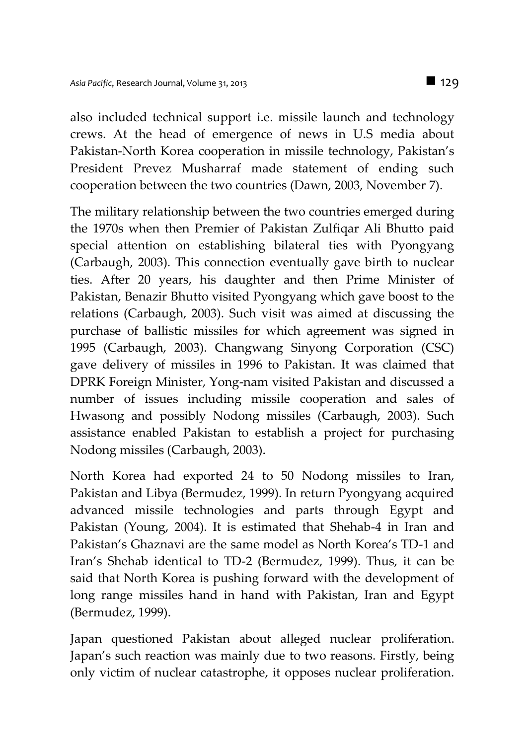also included technical support i.e. missile launch and technology crews. At the head of emergence of news in U.S media about Pakistan-North Korea cooperation in missile technology, Pakistan's President Prevez Musharraf made statement of ending such cooperation between the two countries (Dawn, 2003, November 7).

The military relationship between the two countries emerged during the 1970s when then Premier of Pakistan Zulfiqar Ali Bhutto paid special attention on establishing bilateral ties with Pyongyang (Carbaugh, 2003). This connection eventually gave birth to nuclear ties. After 20 years, his daughter and then Prime Minister of Pakistan, Benazir Bhutto visited Pyongyang which gave boost to the relations (Carbaugh, 2003). Such visit was aimed at discussing the purchase of ballistic missiles for which agreement was signed in 1995 (Carbaugh, 2003). Changwang Sinyong Corporation (CSC) gave delivery of missiles in 1996 to Pakistan. It was claimed that DPRK Foreign Minister, Yong-nam visited Pakistan and discussed a number of issues including missile cooperation and sales of Hwasong and possibly Nodong missiles (Carbaugh, 2003). Such assistance enabled Pakistan to establish a project for purchasing Nodong missiles (Carbaugh, 2003).

North Korea had exported 24 to 50 Nodong missiles to Iran, Pakistan and Libya (Bermudez, 1999). In return Pyongyang acquired advanced missile technologies and parts through Egypt and Pakistan (Young, 2004). It is estimated that Shehab-4 in Iran and Pakistan's Ghaznavi are the same model as North Korea's TD-1 and Iran's Shehab identical to TD-2 (Bermudez, 1999). Thus, it can be said that North Korea is pushing forward with the development of long range missiles hand in hand with Pakistan, Iran and Egypt (Bermudez, 1999).

Japan questioned Pakistan about alleged nuclear proliferation. Japan's such reaction was mainly due to two reasons. Firstly, being only victim of nuclear catastrophe, it opposes nuclear proliferation.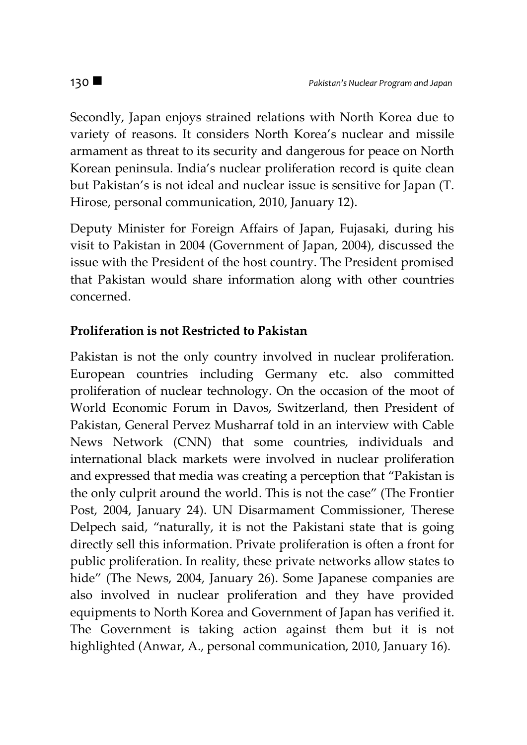Secondly, Japan enjoys strained relations with North Korea due to variety of reasons. It considers North Korea's nuclear and missile armament as threat to its security and dangerous for peace on North Korean peninsula. India's nuclear proliferation record is quite clean but Pakistan's is not ideal and nuclear issue is sensitive for Japan (T. Hirose, personal communication, 2010, January 12).

Deputy Minister for Foreign Affairs of Japan, Fujasaki, during his visit to Pakistan in 2004 (Government of Japan, 2004), discussed the issue with the President of the host country. The President promised that Pakistan would share information along with other countries concerned.

#### **Proliferation is not Restricted to Pakistan**

Pakistan is not the only country involved in nuclear proliferation. European countries including Germany etc. also committed proliferation of nuclear technology. On the occasion of the moot of World Economic Forum in Davos, Switzerland, then President of Pakistan, General Pervez Musharraf told in an interview with Cable News Network (CNN) that some countries, individuals and international black markets were involved in nuclear proliferation and expressed that media was creating a perception that "Pakistan is the only culprit around the world. This is not the case" (The Frontier Post, 2004, January 24). UN Disarmament Commissioner, Therese Delpech said, "naturally, it is not the Pakistani state that is going directly sell this information. Private proliferation is often a front for public proliferation. In reality, these private networks allow states to hide" (The News, 2004, January 26). Some Japanese companies are also involved in nuclear proliferation and they have provided equipments to North Korea and Government of Japan has verified it. The Government is taking action against them but it is not highlighted (Anwar, A., personal communication, 2010, January 16).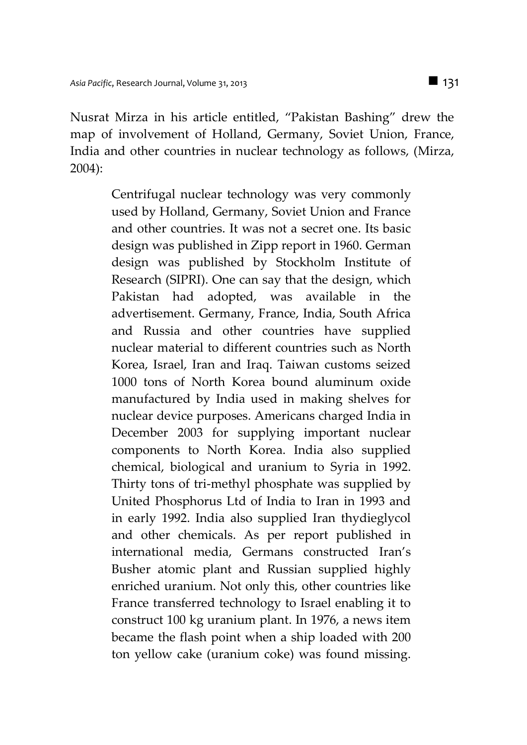Nusrat Mirza in his article entitled, "Pakistan Bashing" drew the map of involvement of Holland, Germany, Soviet Union, France, India and other countries in nuclear technology as follows, (Mirza, 2004):

> Centrifugal nuclear technology was very commonly used by Holland, Germany, Soviet Union and France and other countries. It was not a secret one. Its basic design was published in Zipp report in 1960. German design was published by Stockholm Institute of Research (SIPRI). One can say that the design, which Pakistan had adopted, was available in the advertisement. Germany, France, India, South Africa and Russia and other countries have supplied nuclear material to different countries such as North Korea, Israel, Iran and Iraq. Taiwan customs seized 1000 tons of North Korea bound aluminum oxide manufactured by India used in making shelves for nuclear device purposes. Americans charged India in December 2003 for supplying important nuclear components to North Korea. India also supplied chemical, biological and uranium to Syria in 1992. Thirty tons of tri-methyl phosphate was supplied by United Phosphorus Ltd of India to Iran in 1993 and in early 1992. India also supplied Iran thydieglycol and other chemicals. As per report published in international media, Germans constructed Iran's Busher atomic plant and Russian supplied highly enriched uranium. Not only this, other countries like France transferred technology to Israel enabling it to construct 100 kg uranium plant. In 1976, a news item became the flash point when a ship loaded with 200 ton yellow cake (uranium coke) was found missing.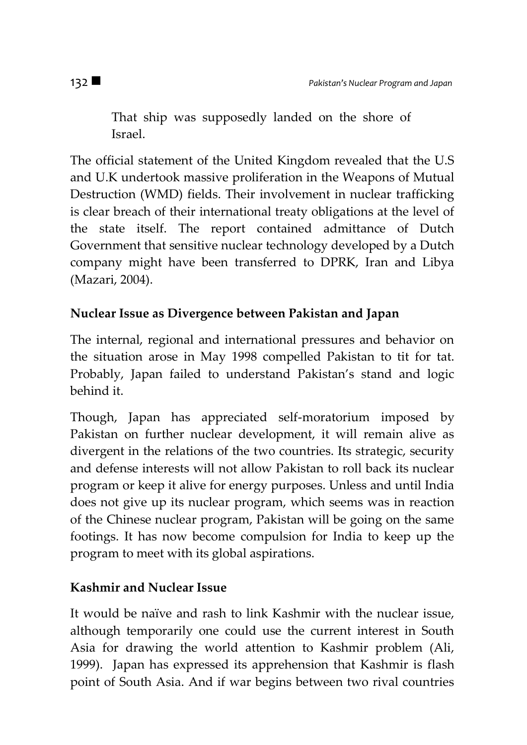That ship was supposedly landed on the shore of Israel.

The official statement of the United Kingdom revealed that the U.S and U.K undertook massive proliferation in the Weapons of Mutual Destruction (WMD) fields. Their involvement in nuclear trafficking is clear breach of their international treaty obligations at the level of the state itself. The report contained admittance of Dutch Government that sensitive nuclear technology developed by a Dutch company might have been transferred to DPRK, Iran and Libya (Mazari, 2004).

## **Nuclear Issue as Divergence between Pakistan and Japan**

The internal, regional and international pressures and behavior on the situation arose in May 1998 compelled Pakistan to tit for tat. Probably, Japan failed to understand Pakistan's stand and logic behind it.

Though, Japan has appreciated self-moratorium imposed by Pakistan on further nuclear development, it will remain alive as divergent in the relations of the two countries. Its strategic, security and defense interests will not allow Pakistan to roll back its nuclear program or keep it alive for energy purposes. Unless and until India does not give up its nuclear program, which seems was in reaction of the Chinese nuclear program, Pakistan will be going on the same footings. It has now become compulsion for India to keep up the program to meet with its global aspirations.

## **Kashmir and Nuclear Issue**

It would be naïve and rash to link Kashmir with the nuclear issue, although temporarily one could use the current interest in South Asia for drawing the world attention to Kashmir problem (Ali, 1999). Japan has expressed its apprehension that Kashmir is flash point of South Asia. And if war begins between two rival countries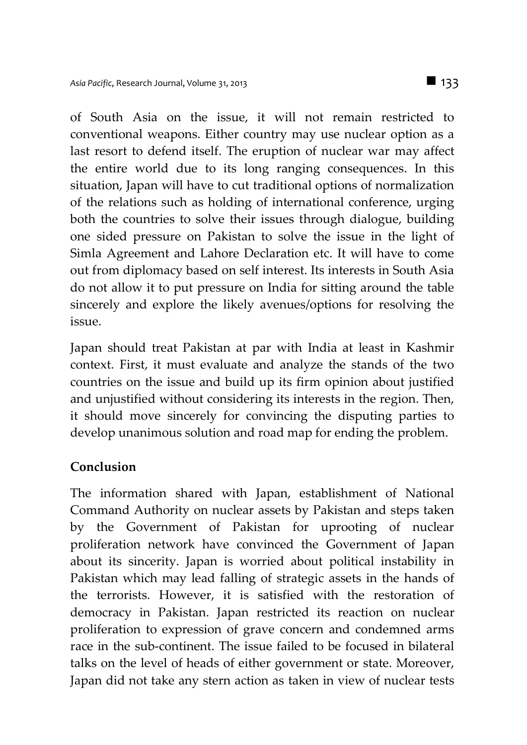of South Asia on the issue, it will not remain restricted to conventional weapons. Either country may use nuclear option as a last resort to defend itself. The eruption of nuclear war may affect the entire world due to its long ranging consequences. In this situation, Japan will have to cut traditional options of normalization of the relations such as holding of international conference, urging both the countries to solve their issues through dialogue, building one sided pressure on Pakistan to solve the issue in the light of Simla Agreement and Lahore Declaration etc. It will have to come out from diplomacy based on self interest. Its interests in South Asia do not allow it to put pressure on India for sitting around the table sincerely and explore the likely avenues/options for resolving the issue.

Japan should treat Pakistan at par with India at least in Kashmir context. First, it must evaluate and analyze the stands of the two countries on the issue and build up its firm opinion about justified and unjustified without considering its interests in the region. Then, it should move sincerely for convincing the disputing parties to develop unanimous solution and road map for ending the problem.

## **Conclusion**

The information shared with Japan, establishment of National Command Authority on nuclear assets by Pakistan and steps taken by the Government of Pakistan for uprooting of nuclear proliferation network have convinced the Government of Japan about its sincerity. Japan is worried about political instability in Pakistan which may lead falling of strategic assets in the hands of the terrorists. However, it is satisfied with the restoration of democracy in Pakistan. Japan restricted its reaction on nuclear proliferation to expression of grave concern and condemned arms race in the sub-continent. The issue failed to be focused in bilateral talks on the level of heads of either government or state. Moreover, Japan did not take any stern action as taken in view of nuclear tests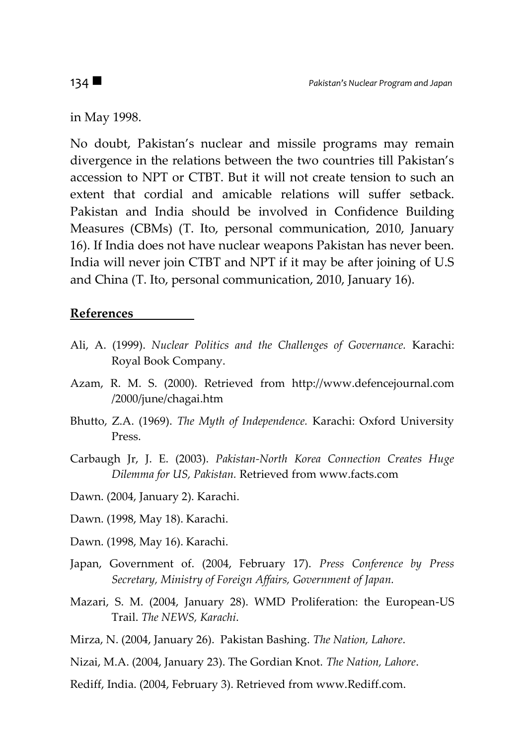in May 1998.

No doubt, Pakistan's nuclear and missile programs may remain divergence in the relations between the two countries till Pakistan's accession to NPT or CTBT. But it will not create tension to such an extent that cordial and amicable relations will suffer setback. Pakistan and India should be involved in Confidence Building Measures (CBMs) (T. Ito, personal communication, 2010, January 16). If India does not have nuclear weapons Pakistan has never been. India will never join CTBT and NPT if it may be after joining of U.S and China (T. Ito, personal communication, 2010, January 16).

#### **References**

- Ali, A. (1999). *Nuclear Politics and the Challenges of Governance.* Karachi: Royal Book Company.
- Azam, R. M. S. (2000). Retrieved from http://www.defencejournal.com /2000/june/chagai.htm
- Bhutto, Z.A. (1969). *The Myth of Independence.* Karachi: Oxford University Press.
- Carbaugh Jr, J. E. (2003). *Pakistan-North Korea Connection Creates Huge Dilemma for US, Pakistan.* Retrieved from www.facts.com
- Dawn. (2004, January 2). Karachi.
- Dawn. (1998, May 18). Karachi.
- Dawn. (1998, May 16). Karachi.
- Japan, Government of. (2004, February 17). *Press Conference by Press Secretary, Ministry of Foreign Affairs, Government of Japan.*
- Mazari, S. M. (2004, January 28). WMD Proliferation: the European-US Trail. *The NEWS, Karachi*.
- Mirza, N. (2004, January 26). Pakistan Bashing. *The Nation, Lahore*.
- Nizai, M.A. (2004, January 23). The Gordian Knot. *The Nation, Lahore*.
- Rediff, India. (2004, February 3). Retrieved from www.Rediff.com.